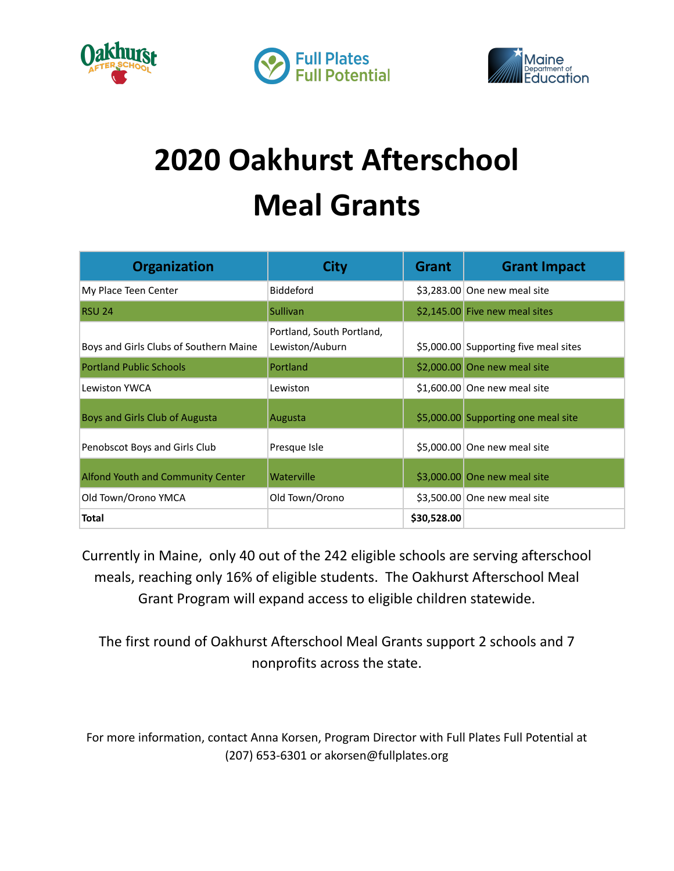





## **2020 Oakhurst Afterschool Meal Grants**

| <b>Organization</b>                    | City                                         | <b>Grant</b> | <b>Grant Impact</b>                   |
|----------------------------------------|----------------------------------------------|--------------|---------------------------------------|
| My Place Teen Center                   | <b>Biddeford</b>                             |              | $$3,283.00$ One new meal site         |
| <b>RSU 24</b>                          | <b>Sullivan</b>                              |              | \$2,145.00 Five new meal sites        |
| Boys and Girls Clubs of Southern Maine | Portland, South Portland,<br>Lewiston/Auburn |              | \$5,000.00 Supporting five meal sites |
| <b>Portland Public Schools</b>         | Portland                                     |              | \$2,000.00 One new meal site          |
| Lewiston YWCA                          | Lewiston                                     |              | $$1,600.00$ One new meal site         |
| Boys and Girls Club of Augusta         | Augusta                                      |              | \$5,000.00 Supporting one meal site   |
| Penobscot Boys and Girls Club          | Presque Isle                                 |              | \$5,000.00 One new meal site          |
| Alfond Youth and Community Center      | Waterville                                   |              | \$3,000.00 One new meal site          |
| Old Town/Orono YMCA                    | Old Town/Orono                               |              | \$3,500.00 One new meal site          |
| <b>Total</b>                           |                                              | \$30,528.00  |                                       |

Currently in Maine, only 40 out of the 242 eligible schools are serving afterschool meals, reaching only 16% of eligible students. The Oakhurst Afterschool Meal Grant Program will expand access to eligible children statewide.

The first round of Oakhurst Afterschool Meal Grants support 2 schools and 7 nonprofits across the state.

For more information, contact Anna Korsen, Program Director with Full Plates Full Potential at (207) 653-6301 or akorsen@fullplates.org